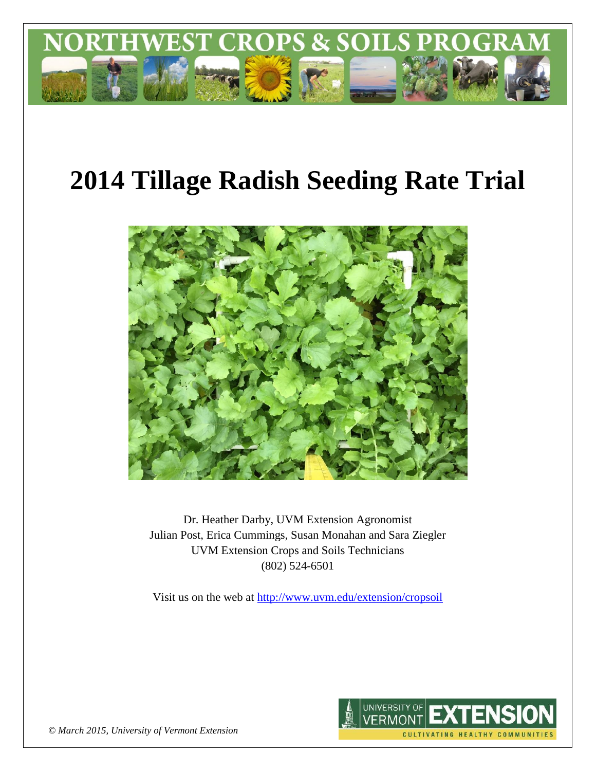

# **2014 Tillage Radish Seeding Rate Trial**



Dr. Heather Darby, UVM Extension Agronomist Julian Post, Erica Cummings, Susan Monahan and Sara Ziegler UVM Extension Crops and Soils Technicians (802) 524-6501

Visit us on the web at<http://www.uvm.edu/extension/cropsoil>



*© March 2015, University of Vermont Extension*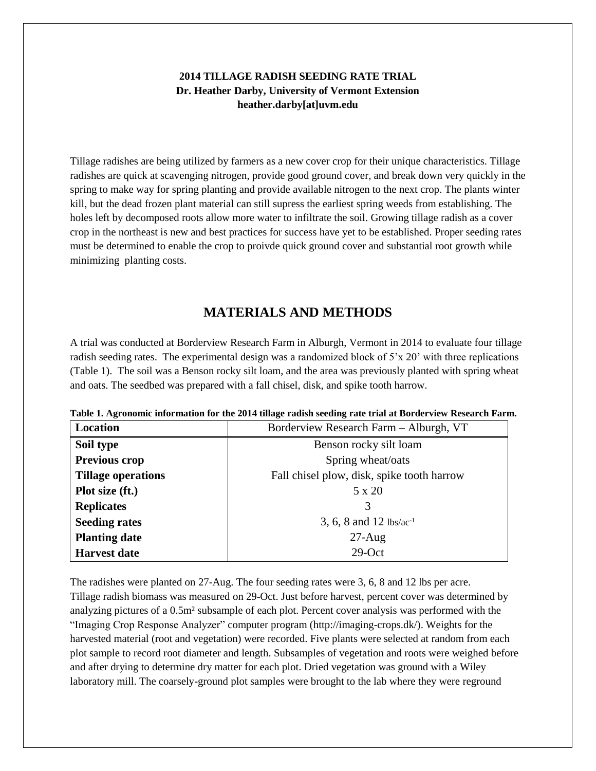## **2014 TILLAGE RADISH SEEDING RATE TRIAL Dr. Heather Darby, University of Vermont Extension heather.darby[at]uvm.edu**

Tillage radishes are being utilized by farmers as a new cover crop for their unique characteristics. Tillage radishes are quick at scavenging nitrogen, provide good ground cover, and break down very quickly in the spring to make way for spring planting and provide available nitrogen to the next crop. The plants winter kill, but the dead frozen plant material can still supress the earliest spring weeds from establishing. The holes left by decomposed roots allow more water to infiltrate the soil. Growing tillage radish as a cover crop in the northeast is new and best practices for success have yet to be established. Proper seeding rates must be determined to enable the crop to proivde quick ground cover and substantial root growth while minimizing planting costs.

## **MATERIALS AND METHODS**

A trial was conducted at Borderview Research Farm in Alburgh, Vermont in 2014 to evaluate four tillage radish seeding rates. The experimental design was a randomized block of 5'x 20' with three replications (Table 1). The soil was a Benson rocky silt loam, and the area was previously planted with spring wheat and oats. The seedbed was prepared with a fall chisel, disk, and spike tooth harrow.

| Location                  | Borderview Research Farm - Alburgh, VT     |  |  |
|---------------------------|--------------------------------------------|--|--|
| Soil type                 | Benson rocky silt loam                     |  |  |
| Previous crop             | Spring wheat/oats                          |  |  |
| <b>Tillage operations</b> | Fall chisel plow, disk, spike tooth harrow |  |  |
| Plot size (ft.)           | 5 x 20                                     |  |  |
| <b>Replicates</b>         | 3                                          |  |  |
| <b>Seeding rates</b>      | 3, 6, 8 and 12 lbs/ac <sup>-1</sup>        |  |  |
| <b>Planting date</b>      | $27$ -Aug                                  |  |  |
| <b>Harvest date</b>       | $29$ -Oct                                  |  |  |

|  |  |  |  | Table 1. Agronomic information for the 2014 tillage radish seeding rate trial at Borderview Research Farm. |
|--|--|--|--|------------------------------------------------------------------------------------------------------------|
|  |  |  |  |                                                                                                            |
|  |  |  |  |                                                                                                            |
|  |  |  |  |                                                                                                            |

The radishes were planted on 27-Aug. The four seeding rates were 3, 6, 8 and 12 lbs per acre. Tillage radish biomass was measured on 29-Oct. Just before harvest, percent cover was determined by analyzing pictures of a 0.5m² subsample of each plot. Percent cover analysis was performed with the "Imaging Crop Response Analyzer" computer program (http://imaging-crops.dk/). Weights for the harvested material (root and vegetation) were recorded. Five plants were selected at random from each plot sample to record root diameter and length. Subsamples of vegetation and roots were weighed before and after drying to determine dry matter for each plot. Dried vegetation was ground with a Wiley laboratory mill. The coarsely-ground plot samples were brought to the lab where they were reground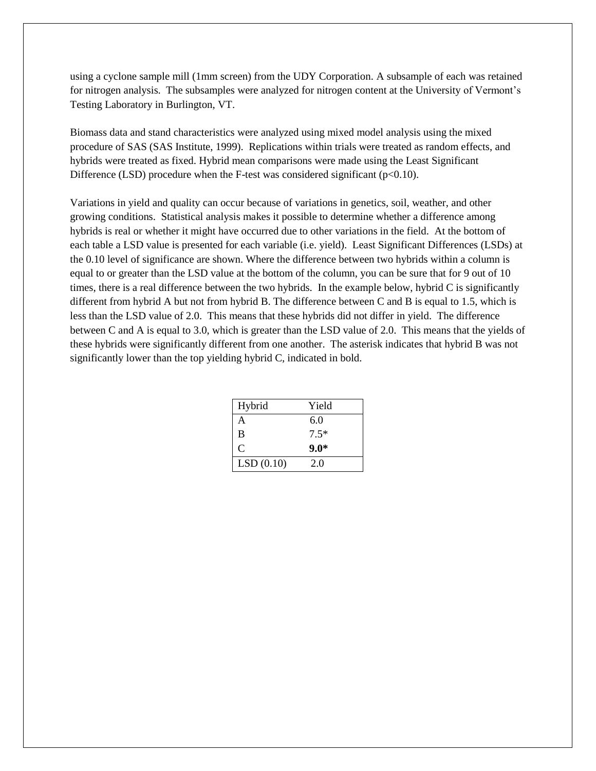using a cyclone sample mill (1mm screen) from the UDY Corporation. A subsample of each was retained for nitrogen analysis. The subsamples were analyzed for nitrogen content at the University of Vermont's Testing Laboratory in Burlington, VT.

Biomass data and stand characteristics were analyzed using mixed model analysis using the mixed procedure of SAS (SAS Institute, 1999). Replications within trials were treated as random effects, and hybrids were treated as fixed. Hybrid mean comparisons were made using the Least Significant Difference (LSD) procedure when the F-test was considered significant ( $p<0.10$ ).

Variations in yield and quality can occur because of variations in genetics, soil, weather, and other growing conditions. Statistical analysis makes it possible to determine whether a difference among hybrids is real or whether it might have occurred due to other variations in the field. At the bottom of each table a LSD value is presented for each variable (i.e. yield). Least Significant Differences (LSDs) at the 0.10 level of significance are shown. Where the difference between two hybrids within a column is equal to or greater than the LSD value at the bottom of the column, you can be sure that for 9 out of 10 times, there is a real difference between the two hybrids. In the example below, hybrid C is significantly different from hybrid A but not from hybrid B. The difference between C and B is equal to 1.5, which is less than the LSD value of 2.0. This means that these hybrids did not differ in yield. The difference between C and A is equal to 3.0, which is greater than the LSD value of 2.0. This means that the yields of these hybrids were significantly different from one another. The asterisk indicates that hybrid B was not significantly lower than the top yielding hybrid C, indicated in bold.

| Hybrid        | Yield  |
|---------------|--------|
| А             | 6.0    |
| B             | $7.5*$ |
| $\mathcal{C}$ | $9.0*$ |
| LSD(0.10)     | 2.0    |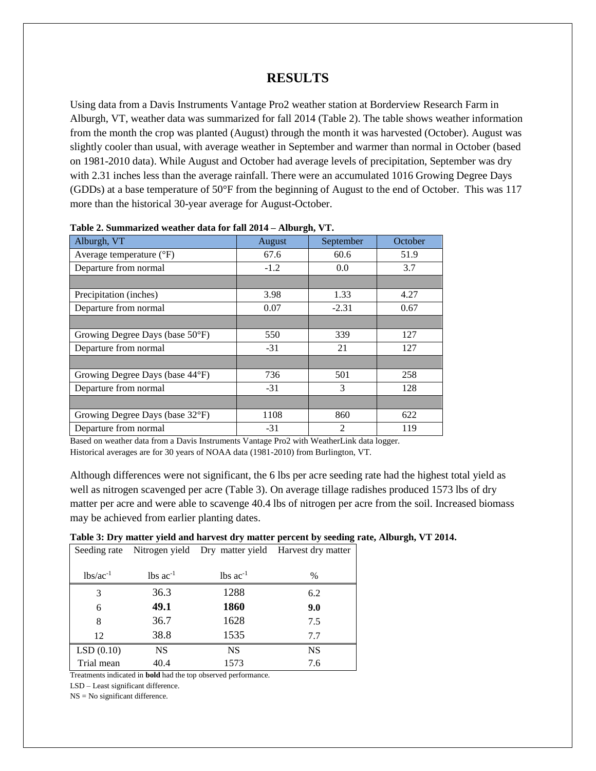## **RESULTS**

Using data from a Davis Instruments Vantage Pro2 weather station at Borderview Research Farm in Alburgh, VT, weather data was summarized for fall 2014 (Table 2). The table shows weather information from the month the crop was planted (August) through the month it was harvested (October). August was slightly cooler than usual, with average weather in September and warmer than normal in October (based on 1981-2010 data). While August and October had average levels of precipitation, September was dry with 2.31 inches less than the average rainfall. There were an accumulated 1016 Growing Degree Days (GDDs) at a base temperature of 50°F from the beginning of August to the end of October. This was 117 more than the historical 30-year average for August-October.

| Alburgh, VT                       | August | September | October |
|-----------------------------------|--------|-----------|---------|
| Average temperature $(^{\circ}F)$ | 67.6   | 60.6      | 51.9    |
| Departure from normal             | $-1.2$ | 0.0       | 3.7     |
|                                   |        |           |         |
| Precipitation (inches)            | 3.98   | 1.33      | 4.27    |
| Departure from normal             | 0.07   | $-2.31$   | 0.67    |
|                                   |        |           |         |
| Growing Degree Days (base 50°F)   | 550    | 339       | 127     |
| Departure from normal             | $-31$  | 21        | 127     |
|                                   |        |           |         |
| Growing Degree Days (base 44°F)   | 736    | 501       | 258     |
| Departure from normal             | $-31$  | 3         | 128     |
|                                   |        |           |         |
| Growing Degree Days (base 32°F)   | 1108   | 860       | 622     |
| Departure from normal             | $-31$  | 2         | 119     |

| Table 2. Summarized weather data for fall 2014 - Alburgh, VT. |  |  |  |  |  |  |  |
|---------------------------------------------------------------|--|--|--|--|--|--|--|
|---------------------------------------------------------------|--|--|--|--|--|--|--|

Based on weather data from a Davis Instruments Vantage Pro2 with WeatherLink data logger. Historical averages are for 30 years of NOAA data (1981-2010) from Burlington, VT.

Although differences were not significant, the 6 lbs per acre seeding rate had the highest total yield as well as nitrogen scavenged per acre (Table 3). On average tillage radishes produced 1573 lbs of dry matter per acre and were able to scavenge 40.4 lbs of nitrogen per acre from the soil. Increased biomass may be achieved from earlier planting dates.

| Table 3: Dry matter yield and harvest dry matter percent by seeding rate, Alburgh, VT 2014. |  |  |  |  |  |  |  |  |
|---------------------------------------------------------------------------------------------|--|--|--|--|--|--|--|--|
|---------------------------------------------------------------------------------------------|--|--|--|--|--|--|--|--|

| Seeding rate  |                        |                        | Nitrogen yield Dry matter yield Harvest dry matter |
|---------------|------------------------|------------------------|----------------------------------------------------|
|               |                        |                        |                                                    |
| $lbs/ac^{-1}$ | $lbs$ ac <sup>-1</sup> | $lbs$ ac <sup>-1</sup> | $\frac{0}{0}$                                      |
| 3             | 36.3                   | 1288                   | 6.2                                                |
| 6             | 49.1                   | 1860                   | 9.0                                                |
| 8             | 36.7                   | 1628                   | 7.5                                                |
| 12            | 38.8                   | 1535                   | 7.7                                                |
| LSD(0.10)     | <b>NS</b>              | <b>NS</b>              | <b>NS</b>                                          |
| Trial mean    | 40.4                   | 1573                   | 7.6                                                |
|               |                        |                        |                                                    |

Treatments indicated in **bold** had the top observed performance.

LSD – Least significant difference.

NS = No significant difference.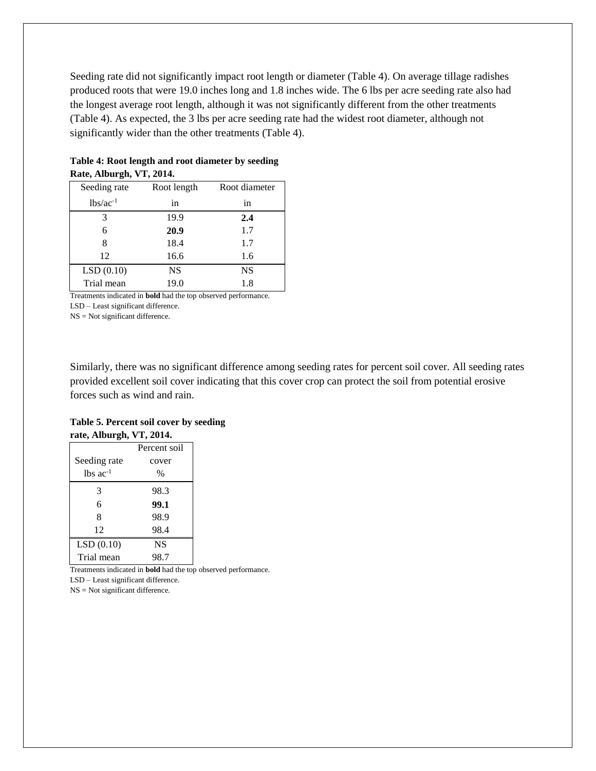Seeding rate did not significantly impact root length or diameter (Table 4). On average tillage radishes produced roots that were 19.0 inches long and 1.8 inches wide. The 6 lbs per acre seeding rate also had the longest average root length, although it was not significantly different from the other treatments (Table 4). As expected, the 3 lbs per acre seeding rate had the widest root diameter, although not significantly wider than the other treatments (Table 4).

| Seeding rate  | Root length | Root diameter |
|---------------|-------------|---------------|
| $lbs/ac^{-1}$ | in          | in            |
| 3             | 19.9        | 2.4           |
| 6             | 20.9        | 1.7           |
| 8             | 18.4        | 1.7           |
| 12            | 16.6        | 1.6           |
| LSD(0.10)     | <b>NS</b>   | <b>NS</b>     |
| Trial mean    | 19.0        | 1.8           |

#### **Table 4: Root length and root diameter by seeding Rate, Alburgh, VT, 2014.**

Treatments indicated in **bold** had the top observed performance.

LSD – Least significant difference. NS = Not significant difference.

Similarly, there was no significant difference among seeding rates for percent soil cover. All seeding rates provided excellent soil cover indicating that this cover crop can protect the soil from potential erosive forces such as wind and rain.

#### **Table 5. Percent soil cover by seeding rate, Alburgh, VT, 2014.**

|                        | Percent soil |
|------------------------|--------------|
| Seeding rate           | cover        |
| $lbs$ ac <sup>-1</sup> | $\%$         |
| 3                      | 98.3         |
| 6                      | 99.1         |
| 8                      | 98.9         |
| 12                     | 98.4         |
| LSD(0.10)              | NS           |
| Trial mean             | 98.7         |

Treatments indicated in **bold** had the top observed performance. LSD – Least significant difference.

NS = Not significant difference.